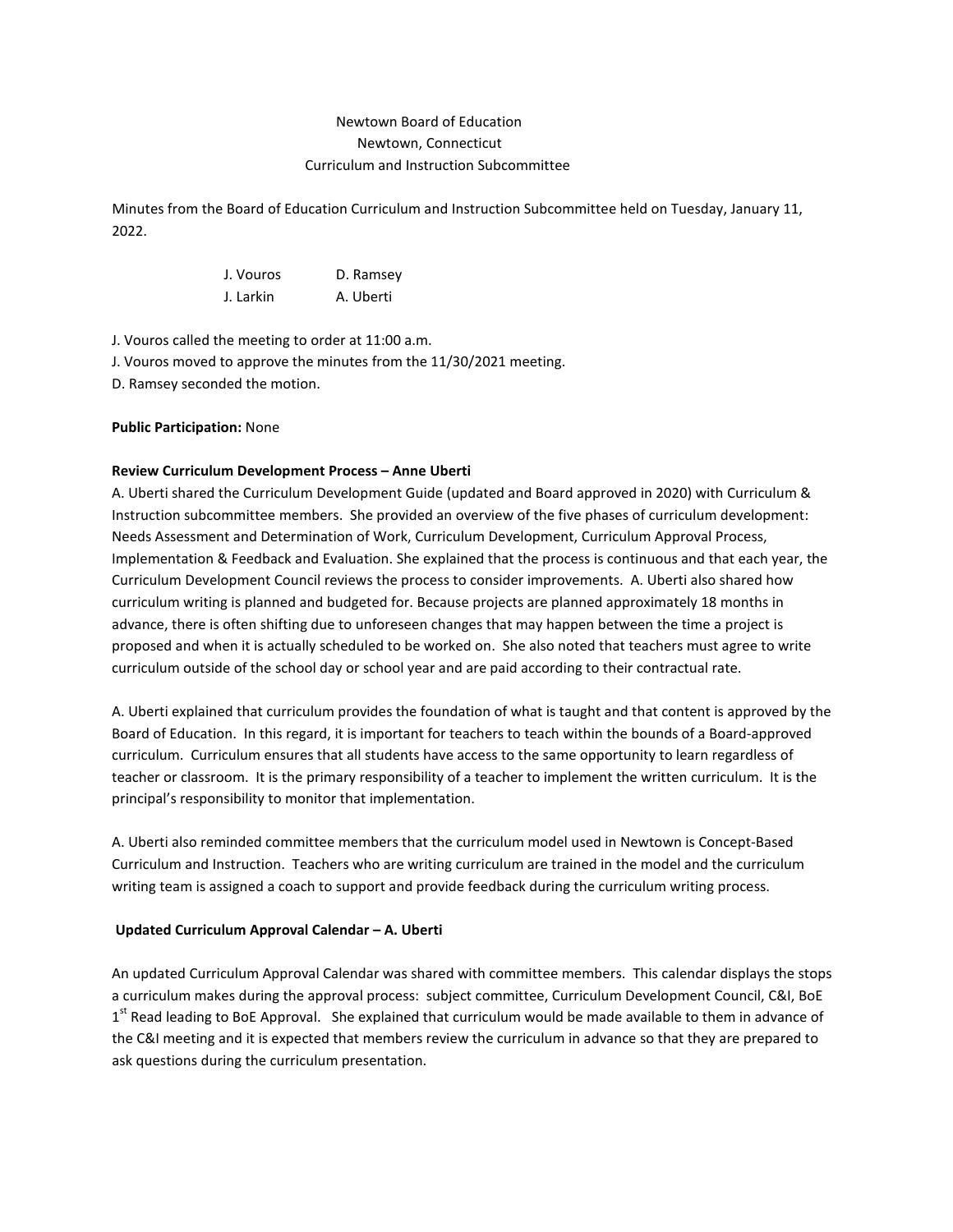# Newtown Board of Education Newtown, Connecticut Curriculum and Instruction Subcommittee

Minutes from the Board of Education Curriculum and Instruction Subcommittee held on Tuesday, January 11, 2022.

| J. Vouros | D. Ramsey |
|-----------|-----------|
| J. Larkin | A. Uberti |

J. Vouros called the meeting to order at 11:00 a.m.

J. Vouros moved to approve the minutes from the 11/30/2021 meeting.

D. Ramsey seconded the motion.

# **Public Participation:** None

# **Review Curriculum Development Process – Anne Uberti**

A. Uberti shared the Curriculum Development Guide (updated and Board approved in 2020) with Curriculum & Instruction subcommittee members. She provided an overview of the five phases of curriculum development: Needs Assessment and Determination of Work, Curriculum Development, Curriculum Approval Process, Implementation & Feedback and Evaluation. She explained that the process is continuous and that each year, the Curriculum Development Council reviews the process to consider improvements. A. Uberti also shared how curriculum writing is planned and budgeted for. Because projects are planned approximately 18 months in advance, there is often shifting due to unforeseen changes that may happen between the time a project is proposed and when it is actually scheduled to be worked on. She also noted that teachers must agree to write curriculum outside of the school day or school year and are paid according to their contractual rate.

A. Uberti explained that curriculum provides the foundation of what is taught and that content is approved by the Board of Education. In this regard, it is important for teachers to teach within the bounds of a Board-approved curriculum. Curriculum ensures that all students have access to the same opportunity to learn regardless of teacher or classroom. It is the primary responsibility of a teacher to implement the written curriculum. It is the principal's responsibility to monitor that implementation.

A. Uberti also reminded committee members that the curriculum model used in Newtown is Concept-Based Curriculum and Instruction. Teachers who are writing curriculum are trained in the model and the curriculum writing team is assigned a coach to support and provide feedback during the curriculum writing process.

## **Updated Curriculum Approval Calendar – A. Uberti**

An updated Curriculum Approval Calendar was shared with committee members. This calendar displays the stops a curriculum makes during the approval process: subject committee, Curriculum Development Council, C&I, BoE 1<sup>st</sup> Read leading to BoE Approval. She explained that curriculum would be made available to them in advance of the C&I meeting and it is expected that members review the curriculum in advance so that they are prepared to ask questions during the curriculum presentation.